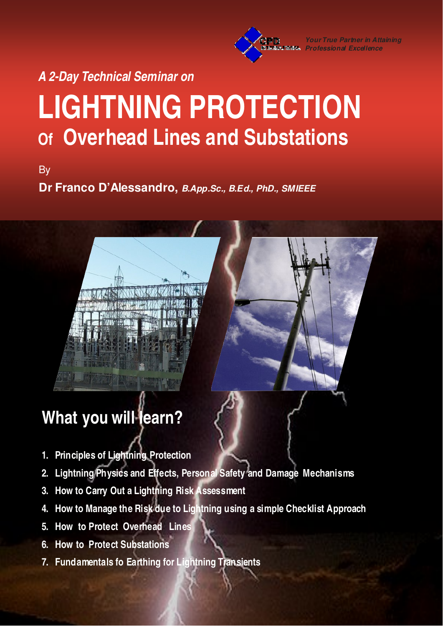**Your True Partner in Attaining Professional Excellence**

**A 2-Day Technical Seminar on** 

# **LIGHTNING PROTECTION Of Overhead Lines and Substations**

By

**Dr Franco D'Alessandro, B.App.Sc., B.Ed., PhD., SMIEEE**

## **What you will learn?**

- **1. Principles of Lightning Protection**
- **2. Lightning Physics and Effects, Personal Safety and Damage Mechanisms**
- **3. How to Carry Out a Lightning Risk Assessment**
- **4. How to Manage the Risk due to Lightning using a simple Checklist Approach**
- **5. How to Protect Overhead Lines**
- **6. How to Protect Substations**
- **7. Fundamentals fo Earthing for Lightning Transients**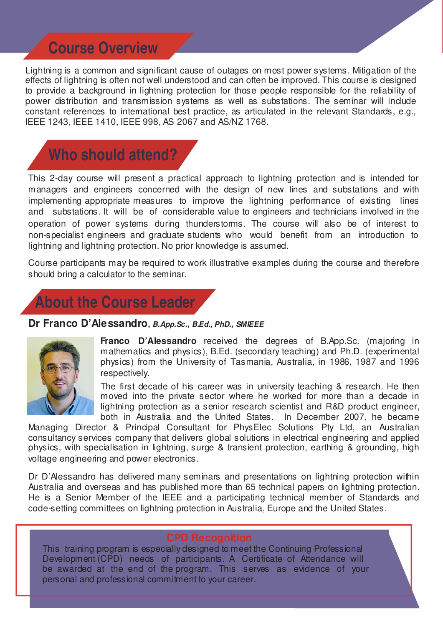### **Course Overview**

Lightning is a common and significant cause of outages on most power systems. Mitigation of the effects of lightning is often not well understood and can often be improved. This course is designed to provide a background in lightning protection for those people responsible for the reliability of power distribution and transmission systems as well as substations. The seminar will include constant references to international best practice, as articulated in the relevant Standards, e.g., IEEE 1243, IEEE 1410, IEEE 998, AS 2067 and AS/NZ 1768.

## **Who should attend?**

This 2-day course will present a practical approach to lightning protection and is intended for managers and engineers concerned with the design of new lines and substations and with implementing appropriate measures to improve the lightning performance of existing lines and substations. It will be of considerable value to engineers and technicians involved in the operation of power systems during thunderstorms. The course will also be of interest to non-specialist engineers and graduate students who would benefit from an introduction to lightning and lightning protection. No prior knowledge is assumed.

Course participants may be required to work illustrative examples during the course and therefore should bring a calculator to the seminar.



**Dr Franco D'Alessandro, B.App.Sc., B.Ed., PhD., SMIEEE**



**Franco D'Alessandro** received the degrees of B.App.Sc. (majoring in mathematics and physics), B.Ed. (secondary teaching) and Ph.D. (experimental physics) from the University of Tasmania, Australia, in 1986, 1987 and 1996 respectively.

The first decade of his career was in university teaching & research. He then moved into the private sector where he worked for more than a decade in lightning protection as a senior research scientist and R&D product engineer, both in Australia and the United States. In December 2007, he became

Managing Director & Principal Consultant for PhysElec Solutions Pty Ltd, an Australian consultancy services company that delivers global solutions in electrical engineering and applied physics, with specialisation in lightning, surge & transient protection, earthing & grounding, high voltage engineering and power electronics.

Dr D'Alessandro has delivered many seminars and presentations on lightning protection within Australia and overseas and has published more than 65 technical papers on lightning protection. He is a Senior Member of the IEEE and a participating technical member of Standards and code-setting committees on lightning protection in Australia, Europe and the United States.

This training program is especially designed to meet the Continuing Professional Development (CPD) needs of participants. A Certificate of Attendance will be awarded at the end of the program. This serves as evidence of your personal and professional commitment to your career.